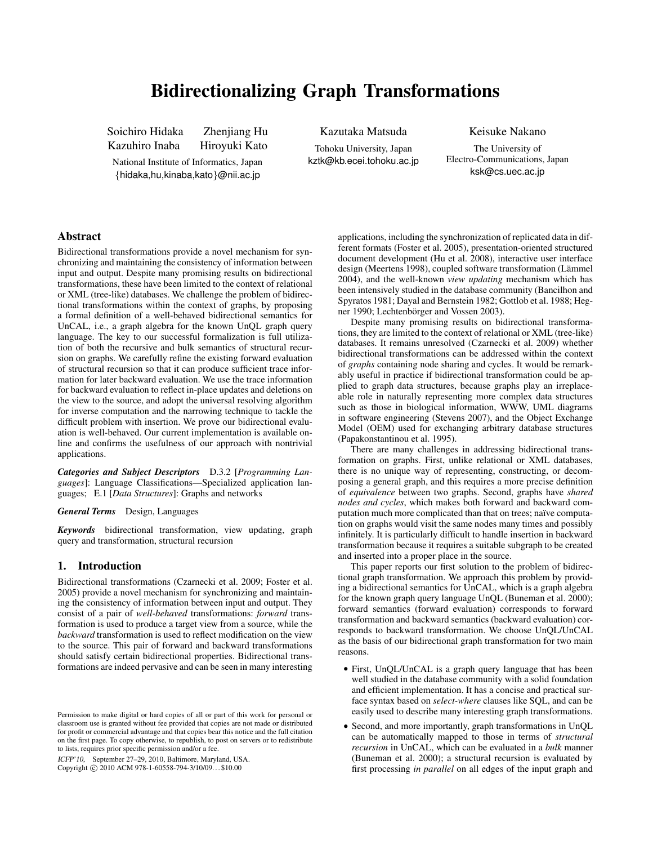# Bidirectionalizing Graph Transformations

Soichiro Hidaka Zhenjiang Hu Kazuhiro Inaba Hiroyuki Kato

National Institute of Informatics, Japan *{*hidaka,hu,kinaba,kato*}*@nii.ac.jp

Kazutaka Matsuda

Tohoku University, Japan kztk@kb.ecei.tohoku.ac.jp Keisuke Nakano

The University of Electro-Communications, Japan ksk@cs.uec.ac.jp

# Abstract

Bidirectional transformations provide a novel mechanism for synchronizing and maintaining the consistency of information between input and output. Despite many promising results on bidirectional transformations, these have been limited to the context of relational or XML (tree-like) databases. We challenge the problem of bidirectional transformations within the context of graphs, by proposing a formal definition of a well-behaved bidirectional semantics for UnCAL, i.e., a graph algebra for the known UnQL graph query language. The key to our successful formalization is full utilization of both the recursive and bulk semantics of structural recursion on graphs. We carefully refine the existing forward evaluation of structural recursion so that it can produce sufficient trace information for later backward evaluation. We use the trace information for backward evaluation to reflect in-place updates and deletions on the view to the source, and adopt the universal resolving algorithm for inverse computation and the narrowing technique to tackle the difficult problem with insertion. We prove our bidirectional evaluation is well-behaved. Our current implementation is available online and confirms the usefulness of our approach with nontrivial applications.

*Categories and Subject Descriptors* D.3.2 [*Programming Languages*]: Language Classifications—Specialized application languages; E.1 [*Data Structures*]: Graphs and networks

*General Terms* Design, Languages

*Keywords* bidirectional transformation, view updating, graph query and transformation, structural recursion

# 1. Introduction

Bidirectional transformations (Czarnecki et al. 2009; Foster et al. 2005) provide a novel mechanism for synchronizing and maintaining the consistency of information between input and output. They consist of a pair of *well-behaved* transformations: *forward* transformation is used to produce a target view from a source, while the *backward* transformation is used to reflect modification on the view to the source. This pair of forward and backward transformations should satisfy certain bidirectional properties. Bidirectional transformations are indeed pervasive and can be seen in many interesting

ICFP'10, September 27–29, 2010, Baltimore, Maryland, USA. Copyright c 2010 ACM 978-1-60558-794-3/10/09. . . \$10.00

applications, including the synchronization of replicated data in different formats (Foster et al. 2005), presentation-oriented structured document development (Hu et al. 2008), interactive user interface design (Meertens 1998), coupled software transformation (Lämmel 2004), and the well-known *view updating* mechanism which has been intensively studied in the database community (Bancilhon and Spyratos 1981; Dayal and Bernstein 1982; Gottlob et al. 1988; Hegner 1990; Lechtenbörger and Vossen 2003).

Despite many promising results on bidirectional transformations, they are limited to the context of relational or XML (tree-like) databases. It remains unresolved (Czarnecki et al. 2009) whether bidirectional transformations can be addressed within the context of *graphs* containing node sharing and cycles. It would be remarkably useful in practice if bidirectional transformation could be applied to graph data structures, because graphs play an irreplaceable role in naturally representing more complex data structures such as those in biological information, WWW, UML diagrams in software engineering (Stevens 2007), and the Object Exchange Model (OEM) used for exchanging arbitrary database structures (Papakonstantinou et al. 1995).

There are many challenges in addressing bidirectional transformation on graphs. First, unlike relational or XML databases, there is no unique way of representing, constructing, or decomposing a general graph, and this requires a more precise definition of *equivalence* between two graphs. Second, graphs have *shared nodes and cycles*, which makes both forward and backward computation much more complicated than that on trees; naïve computation on graphs would visit the same nodes many times and possibly infinitely. It is particularly difficult to handle insertion in backward transformation because it requires a suitable subgraph to be created and inserted into a proper place in the source.

This paper reports our first solution to the problem of bidirectional graph transformation. We approach this problem by providing a bidirectional semantics for UnCAL, which is a graph algebra for the known graph query language UnQL (Buneman et al. 2000); forward semantics (forward evaluation) corresponds to forward transformation and backward semantics (backward evaluation) corresponds to backward transformation. We choose UnQL/UnCAL as the basis of our bidirectional graph transformation for two main reasons.

- *•* First, UnQL/UnCAL is a graph query language that has been well studied in the database community with a solid foundation and efficient implementation. It has a concise and practical surface syntax based on *select-where* clauses like SQL, and can be easily used to describe many interesting graph transformations.
- *•* Second, and more importantly, graph transformations in UnQL can be automatically mapped to those in terms of *structural recursion* in UnCAL, which can be evaluated in a *bulk* manner (Buneman et al. 2000); a structural recursion is evaluated by first processing *in parallel* on all edges of the input graph and

Permission to make digital or hard copies of all or part of this work for personal or classroom use is granted without fee provided that copies are not made or distributed for profit or commercial advantage and that copies bear this notice and the full citation on the first page. To copy otherwise, to republish, to post on servers or to redistribute to lists, requires prior specific permission and/or a fee.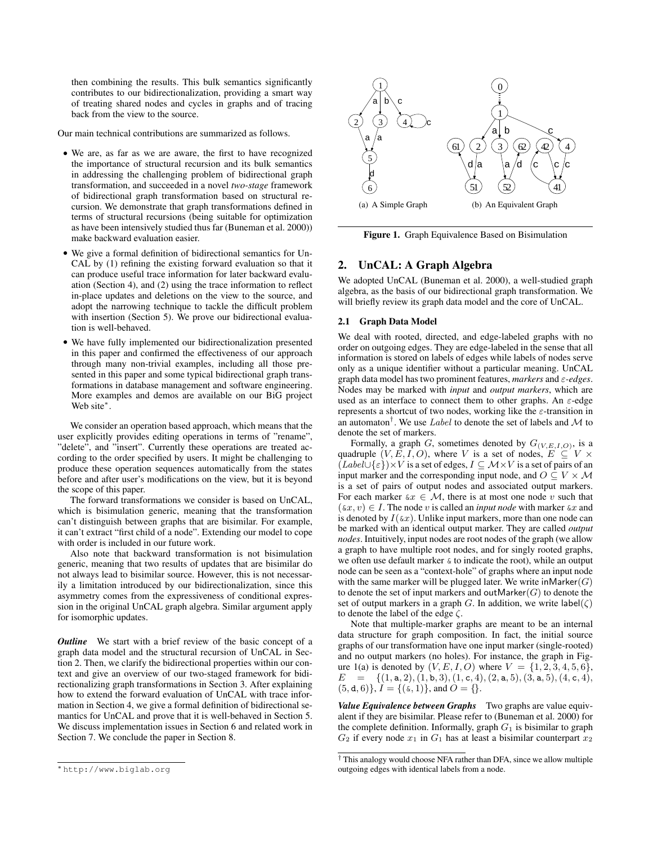then combining the results. This bulk semantics significantly contributes to our bidirectionalization, providing a smart way of treating shared nodes and cycles in graphs and of tracing back from the view to the source.

Our main technical contributions are summarized as follows.

- *•* We are, as far as we are aware, the first to have recognized the importance of structural recursion and its bulk semantics in addressing the challenging problem of bidirectional graph transformation, and succeeded in a novel *two-stage* framework of bidirectional graph transformation based on structural recursion. We demonstrate that graph transformations defined in terms of structural recursions (being suitable for optimization as have been intensively studied thus far (Buneman et al. 2000)) make backward evaluation easier.
- *•* We give a formal definition of bidirectional semantics for Un-CAL by (1) refining the existing forward evaluation so that it can produce useful trace information for later backward evaluation (Section 4), and (2) using the trace information to reflect in-place updates and deletions on the view to the source, and adopt the narrowing technique to tackle the difficult problem with insertion (Section 5). We prove our bidirectional evaluation is well-behaved.
- *•* We have fully implemented our bidirectionalization presented in this paper and confirmed the effectiveness of our approach through many non-trivial examples, including all those presented in this paper and some typical bidirectional graph transformations in database management and software engineering. More examples and demos are available on our BiG project Web site*<sup>∗</sup>* .

We consider an operation based approach, which means that the user explicitly provides editing operations in terms of "rename", "delete", and "insert". Currently these operations are treated according to the order specified by users. It might be challenging to produce these operation sequences automatically from the states before and after user's modifications on the view, but it is beyond the scope of this paper.

The forward transformations we consider is based on UnCAL, which is bisimulation generic, meaning that the transformation can't distinguish between graphs that are bisimilar. For example, it can't extract "first child of a node". Extending our model to cope with order is included in our future work.

Also note that backward transformation is not bisimulation generic, meaning that two results of updates that are bisimilar do not always lead to bisimilar source. However, this is not necessarily a limitation introduced by our bidirectionalization, since this asymmetry comes from the expressiveness of conditional expression in the original UnCAL graph algebra. Similar argument apply for isomorphic updates.

*Outline* We start with a brief review of the basic concept of a graph data model and the structural recursion of UnCAL in Section 2. Then, we clarify the bidirectional properties within our context and give an overview of our two-staged framework for bidirectionalizing graph transformations in Section 3. After explaining how to extend the forward evaluation of UnCAL with trace information in Section 4, we give a formal definition of bidirectional semantics for UnCAL and prove that it is well-behaved in Section 5. We discuss implementation issues in Section 6 and related work in Section 7. We conclude the paper in Section 8.



Figure 1. Graph Equivalence Based on Bisimulation

# 2. UnCAL: A Graph Algebra

We adopted UnCAL (Buneman et al. 2000), a well-studied graph algebra, as the basis of our bidirectional graph transformation. We will briefly review its graph data model and the core of UnCAL.

# 2.1 Graph Data Model

We deal with rooted, directed, and edge-labeled graphs with no order on outgoing edges. They are edge-labeled in the sense that all information is stored on labels of edges while labels of nodes serve only as a unique identifier without a particular meaning. UnCAL graph data model has two prominent features, *markers* and *ε-edges*. Nodes may be marked with *input* and *output markers*, which are used as an interface to connect them to other graphs. An *ε*-edge represents a shortcut of two nodes, working like the *ε*-transition in an automaton*†* . We use *Label* to denote the set of labels and *M* to denote the set of markers.

Formally, a graph *G*, sometimes denoted by  $G_{(V,E,I,O)}$ , is a quadruple  $(V, E, I, O)$ , where *V* is a set of nodes,  $E \subseteq V \times$  $(Label ∪ {ε}) × V$  is a set of edges,  $I ⊆ M × V$  is a set of pairs of an input marker and the corresponding input node, and  $O \subseteq V \times M$ is a set of pairs of output nodes and associated output markers. For each marker  $\&x \in \mathcal{M}$ , there is at most one node *v* such that  $(\& x, v) \in I$ . The node *v* is called an *input node* with marker  $& x$  and is denoted by  $I(\epsilon x)$ . Unlike input markers, more than one node can be marked with an identical output marker. They are called *output nodes*. Intuitively, input nodes are root nodes of the graph (we allow a graph to have multiple root nodes, and for singly rooted graphs, we often use default marker  $\&$  to indicate the root), while an output node can be seen as a "context-hole" of graphs where an input node with the same marker will be plugged later. We write inMarker(*G*) to denote the set of input markers and  $\text{outMarket}(G)$  to denote the set of output markers in a graph *G*. In addition, we write  $\text{label}(\zeta)$ to denote the label of the edge *ζ*.

Note that multiple-marker graphs are meant to be an internal data structure for graph composition. In fact, the initial source graphs of our transformation have one input marker (single-rooted) and no output markers (no holes). For instance, the graph in Figure 1(a) is denoted by  $(V, E, I, O)$  where  $V = \{1, 2, 3, 4, 5, 6\}$ ,  $E = \{(1, \mathbf{a}, 2), (1, \mathbf{b}, 3), (1, \mathbf{c}, 4), (2, \mathbf{a}, 5), (3, \mathbf{a}, 5), (4, \mathbf{c}, 4)\}$  $(5, d, 6)$ ,  $I = \{(\alpha, 1)\}$ , and  $O = \{\}.$ 

*Value Equivalence between Graphs* Two graphs are value equivalent if they are bisimilar. Please refer to (Buneman et al. 2000) for the complete definition. Informally, graph *G*<sup>1</sup> is bisimilar to graph  $G_2$  if every node  $x_1$  in  $G_1$  has at least a bisimilar counterpart  $x_2$ 

*<sup>†</sup>* This analogy would choose NFA rather than DFA, since we allow multiple outgoing edges with identical labels from a node.

*<sup>∗</sup>* http://www.biglab.org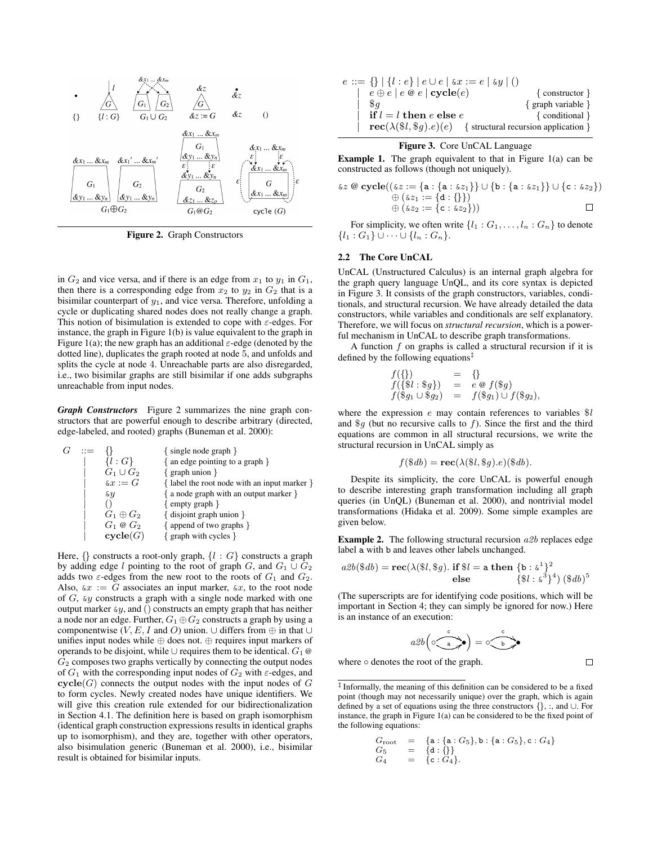

Figure 2. Graph Constructors

in  $G_2$  and vice versa, and if there is an edge from  $x_1$  to  $y_1$  in  $G_1$ , then there is a corresponding edge from  $x_2$  to  $y_2$  in  $G_2$  that is a bisimilar counterpart of *y*1, and vice versa. Therefore, unfolding a cycle or duplicating shared nodes does not really change a graph. This notion of bisimulation is extended to cope with *ε*-edges. For instance, the graph in Figure 1(b) is value equivalent to the graph in Figure 1(a); the new graph has an additional  $\varepsilon$ -edge (denoted by the dotted line), duplicates the graph rooted at node 5, and unfolds and splits the cycle at node 4. Unreachable parts are also disregarded, i.e., two bisimilar graphs are still bisimilar if one adds subgraphs unreachable from input nodes.

*Graph Constructors* Figure 2 summarizes the nine graph constructors that are powerful enough to describe arbitrary (directed, edge-labeled, and rooted) graphs (Buneman et al. 2000):

| G | $\cdots$ |                     | $\{ \text{ single node graph } \}$                 |
|---|----------|---------------------|----------------------------------------------------|
|   |          | $\{l: G\}$          | $\{$ an edge pointing to a graph $\}$              |
|   |          | $G_1\cup G_2$       | $\{$ graph union $\}$                              |
|   |          | $\&x:=G$            | $\{$ label the root node with an input marker $\}$ |
|   |          | &γ                  | $\{$ a node graph with an output marker $\}$       |
|   |          |                     | $\{$ empty graph $\}$                              |
|   |          | $G_1 \oplus G_2$    | $\{$ disjoint graph union $\}$                     |
|   |          | $G_1 \otimes G_2$   | { append of two graphs }                           |
|   |          | $\mathbf{cycle}(G)$ | $\{$ graph with cycles $\}$                        |

Here, *{}* constructs a root-only graph, *{l* : *G}* constructs a graph by adding edge *l* pointing to the root of graph *G*, and  $G_1 \cup G_2$ adds two  $\varepsilon$ -edges from the new root to the roots of  $G_1$  and  $G_2$ . Also,  $\&x := G$  associates an input marker,  $&x$ , to the root node of *G*, &*y* constructs a graph with a single node marked with one output marker &*y*, and () constructs an empty graph that has neither a node nor an edge. Further,  $G_1 \oplus G_2$  constructs a graph by using a componentwise (*V, E, I* and *O*) union.  $\cup$  differs from  $\oplus$  in that  $\cup$ unifies input nodes while *⊕* does not. *⊕* requires input markers of operands to be disjoint, while *∪* requires them to be identical. *G*<sup>1</sup> @  $G_2$  composes two graphs vertically by connecting the output nodes of  $G_1$  with the corresponding input nodes of  $G_2$  with  $\varepsilon$ -edges, and  $\mathbf{cycle}(G)$  connects the output nodes with the input nodes of  $G$ to form cycles. Newly created nodes have unique identifiers. We will give this creation rule extended for our bidirectionalization in Section 4.1. The definition here is based on graph isomorphism (identical graph construction expressions results in identical graphs up to isomorphism), and they are, together with other operators, also bisimulation generic (Buneman et al. 2000), i.e., bisimilar result is obtained for bisimilar inputs.

| $e ::= \{\}\, \,\{l : e\}\,  \,e \cup e \, \, \& x := e \, \, \& y \, \,()\}$ |                                      |
|-------------------------------------------------------------------------------|--------------------------------------|
| $e \oplus e \mid e \otimes e \mid \text{cycle}(e)$                            | $\{$ constructor $\}$                |
| $\$a$                                                                         | { graph variable }                   |
| if $l = l$ then e else e                                                      | { conditional }                      |
| $\mathbf{rec}(\lambda(\text{$8l$}, \text{$8g$}).e)(e)$                        | { structural recursion application } |

## Figure 3. Core UnCAL Language

**Example 1.** The graph equivalent to that in Figure  $1(a)$  can be constructed as follows (though not uniquely).

$$
\&z \otimes \text{cycle}((\&z := \{a : \{a : \&z_1\}\} \cup \{b : \{a : \&z_1\}\} \cup \{c : \&z_2\})
$$
  
\n
$$
\oplus (\&z_1 := \{d : \{\}\})
$$
  
\n
$$
\oplus (\&z_2 := \{c : \&z_2\}))
$$

For simplicity, we often write  $\{l_1 : G_1, \ldots, l_n : G_n\}$  to denote *{l*<sup>1</sup> : *G*1*} ∪ · · · ∪ {l<sup>n</sup>* : *Gn}*.

## 2.2 The Core UnCAL

UnCAL (Unstructured Calculus) is an internal graph algebra for the graph query language UnQL, and its core syntax is depicted in Figure 3. It consists of the graph constructors, variables, conditionals, and structural recursion. We have already detailed the data constructors, while variables and conditionals are self explanatory. Therefore, we will focus on *structural recursion*, which is a powerful mechanism in UnCAL to describe graph transformations.

A function *f* on graphs is called a structural recursion if it is defined by the following equations*‡*

$$
f(\{\}) = \{\}f(\{ $l : $g$}) = e @ f($g)f($g1 \cup $g2}) = f($g1) \cup f($g2),
$$

where the expression *e* may contain references to variables \$*l* and  $\mathcal{G}_q$  (but no recursive calls to  $f$ ). Since the first and the third equations are common in all structural recursions, we write the structural recursion in UnCAL simply as

$$
f(\$db) = \mathbf{rec}(\lambda(\$l, \$g).e)(\$db).
$$

Despite its simplicity, the core UnCAL is powerful enough to describe interesting graph transformation including all graph queries (in UnQL) (Buneman et al. 2000), and nontrivial model transformations (Hidaka et al. 2009). Some simple examples are given below.

Example 2. The following structural recursion *a2b* replaces edge label a with b and leaves other labels unchanged.

$$
a2b(\$db) = \mathbf{rec}(\lambda(\$l, \$g). \text{ if } \$l = \text{a then } \{\text{b} : \hat{\kappa}^1\}^2
$$
  
else 
$$
\{\$l : \hat{\kappa}^3\}^4) (\$db)^5
$$

(The superscripts are for identifying code positions, which will be important in Section 4; they can simply be ignored for now.) Here is an instance of an execution:

$$
a2b\left(\circ\text{A}\right) = \circ\text{A}
$$

 $\Box$ 

where *◦* denotes the root of the graph.

$$
G_{\text{root}} = \{ \mathbf{a} : \{ \mathbf{a} : G_5 \}, \mathbf{b} : \{ \mathbf{a} : G_5 \}, \mathbf{c} : G_4 \} G_4 = \{ \mathbf{c} : G_4 \}.
$$

*<sup>‡</sup>* Informally, the meaning of this definition can be considered to be a fixed point (though may not necessarily unique) over the graph, which is again defined by a set of equations using the three constructors *{}*, :, and *∪*. For instance, the graph in Figure 1(a) can be considered to be the fixed point of the following equations: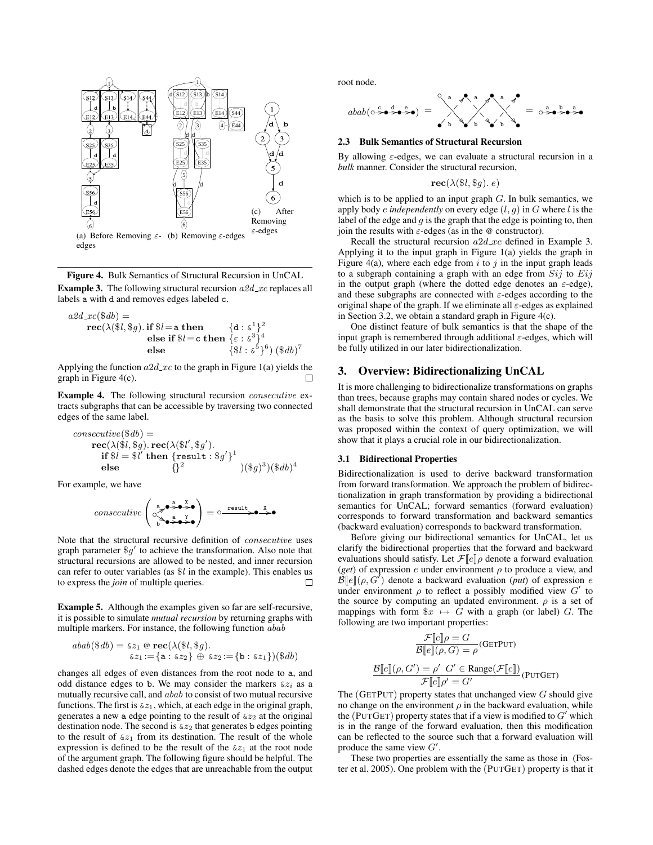

Figure 4. Bulk Semantics of Structural Recursion in UnCAL Example 3. The following structural recursion *a2d xc* replaces all labels a with d and removes edges labeled c.

$$
a2d_xc(\$db) =
$$
\n
$$
\text{rec}(\lambda(\$l, \$g). \text{ if } \$l = \text{a then}
$$
\n
$$
\{d : \&^1\}^2
$$
\n
$$
\text{else if } \$l = \text{c then } \{\varepsilon : \&^3\}^4
$$
\n
$$
\{\$l : \&^5\}^6) (\$db)^7
$$

Applying the function  $a2d$  *xc* to the graph in Figure 1(a) yields the graph in Figure 4(c).  $\Box$ 

Example 4. The following structural recursion *consecutive* extracts subgraphs that can be accessible by traversing two connected edges of the same label.

$$
\begin{array}{ll}\n\text{consecutive($db)} = \\
 & \mathbf{rec}(\lambda(\$l, \$g). \mathbf{rec}(\lambda(\$l', \$g')). \\
 & \text{if $\$l = \$l'$ then {result : $\$g'$}^1$} \\
 & \text{else} & \{\}^2 & (\$\$g)^3)(\$db)^4\n\end{array}
$$

For example, we have

$$
\text{consecutive}\left(\underset{b}{\overset{a}{\sim}}\underset{b}{\overset{a}{\rightarrow}}\underset{c}{\overset{b}{\rightarrow}}\overset{b}{\overset{v}{\rightarrow}}\overset{y}{\bullet}\right)=\circ\overset{result}{\overset{v}{\longrightarrow}}\overset{y}{\bullet}\overset{y}{\rightarrow}\overset{z}{\bullet}
$$

Note that the structural recursive definition of *consecutive* uses graph parameter  $\frac{6}{9}$  to achieve the transformation. Also note that structural recursions are allowed to be nested, and inner recursion can refer to outer variables (as \$*l* in the example). This enables us to express the *join* of multiple queries. П

Example 5. Although the examples given so far are self-recursive, it is possible to simulate *mutual recursion* by returning graphs with multiple markers. For instance, the following function *abab*

$$
abab(\$db) = \&z_1 \& \mathbf{rec}(\lambda(\$l, \$g)).
$$
  

$$
\&z_1 := \{ \mathbf{a} : \&z_2 \} \oplus \&z_2 := \{ \mathbf{b} : \&z_1 \} (\$db)
$$

changes all edges of even distances from the root node to a, and odd distance edges to b. We may consider the markers  $\&z_i$  as a mutually recursive call, and *abab* to consist of two mutual recursive functions. The first is  $\&z_1$ , which, at each edge in the original graph, generates a new a edge pointing to the result of  $\&z_2$  at the original destination node. The second is  $\&z_2$  that generates b edges pointing to the result of  $\&z_1$  from its destination. The result of the whole expression is defined to be the result of the  $\&z_1$  at the root node of the argument graph. The following figure should be helpful. The dashed edges denote the edges that are unreachable from the output root node.



## 2.3 Bulk Semantics of Structural Recursion

By allowing *ε*-edges, we can evaluate a structural recursion in a *bulk* manner. Consider the structural recursion,

$$
\mathbf{rec}(\lambda(\$l, \$g). e)
$$

which is to be applied to an input graph *G*. In bulk semantics, we apply body *e independently* on every edge (*l, g*) in *G* where *l* is the label of the edge and  $q$  is the graph that the edge is pointing to, then join the results with  $\varepsilon$ -edges (as in the  $\omega$  constructor).

Recall the structural recursion *a*2*d xc* defined in Example 3. Applying it to the input graph in Figure 1(a) yields the graph in Figure 4(a), where each edge from  $i$  to  $j$  in the input graph leads to a subgraph containing a graph with an edge from *Sij* to *Eij* in the output graph (where the dotted edge denotes an *ε*-edge), and these subgraphs are connected with *ε*-edges according to the original shape of the graph. If we eliminate all *ε*-edges as explained in Section 3.2, we obtain a standard graph in Figure 4(c).

One distinct feature of bulk semantics is that the shape of the input graph is remembered through additional *ε*-edges, which will be fully utilized in our later bidirectionalization.

# 3. Overview: Bidirectionalizing UnCAL

It is more challenging to bidirectionalize transformations on graphs than trees, because graphs may contain shared nodes or cycles. We shall demonstrate that the structural recursion in UnCAL can serve as the basis to solve this problem. Although structural recursion was proposed within the context of query optimization, we will show that it plays a crucial role in our bidirectionalization.

#### 3.1 Bidirectional Properties

Bidirectionalization is used to derive backward transformation from forward transformation. We approach the problem of bidirectionalization in graph transformation by providing a bidirectional semantics for UnCAL; forward semantics (forward evaluation) corresponds to forward transformation and backward semantics (backward evaluation) corresponds to backward transformation.

Before giving our bidirectional semantics for UnCAL, let us clarify the bidirectional properties that the forward and backward evaluations should satisfy. Let  $\mathcal{F}[\![e]\!] \rho$  denote a forward evaluation (*get*) of expression *e* under environment *ρ* to produce a view, and  $\mathcal{B}[\![e]\!](\rho, G')$  denote a backward evaluation (*put*) of expression *e* under environment  $\rho$  to reflect a possibly modified view  $G'$  to the source by computing an updated environment.  $\rho$  is a set of mappings with form  $x \mapsto G$  with a graph (or label) *G*. The following are two important properties:

$$
\mathcal{F}[\![e]\!] \rho = G
$$
\n
$$
\mathcal{B}[\![e]\!](\rho, G) = \rho
$$
\n
$$
\mathcal{B}[\![e]\!](\rho, G') = \rho' \ G' \in \text{Range}(\mathcal{F}[\![e]\!])
$$
\n
$$
\mathcal{F}[\![e]\!](\rho' = G'
$$

The (GETPUT) property states that unchanged view *G* should give no change on the environment  $\rho$  in the backward evaluation, while the (PUTGET) property states that if a view is modified to  $G'$  which is in the range of the forward evaluation, then this modification can be reflected to the source such that a forward evaluation will produce the same view  $G'$ .

These two properties are essentially the same as those in (Foster et al. 2005). One problem with the (PUTGET) property is that it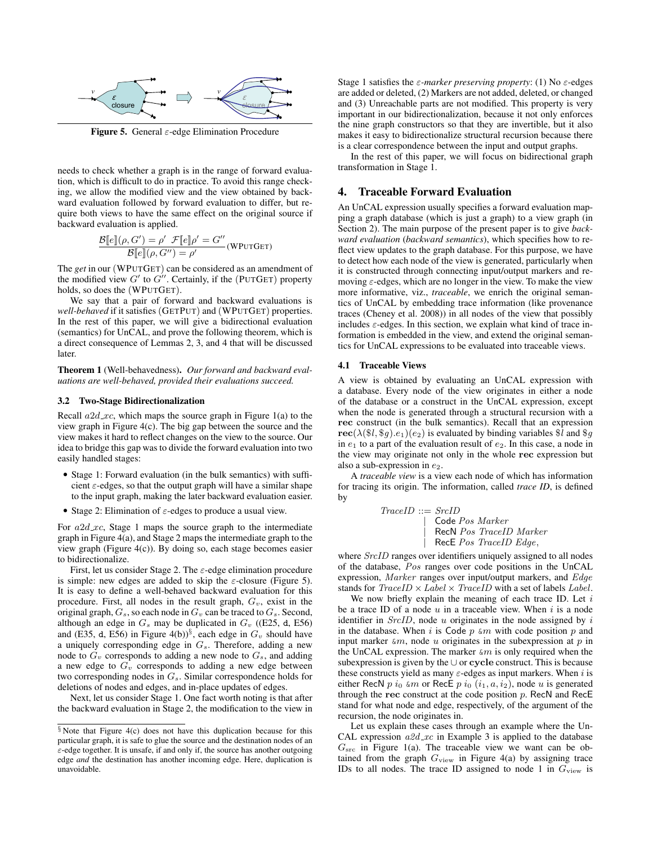

Figure 5. General *ε*-edge Elimination Procedure

needs to check whether a graph is in the range of forward evaluation, which is difficult to do in practice. To avoid this range checking, we allow the modified view and the view obtained by backward evaluation followed by forward evaluation to differ, but require both views to have the same effect on the original source if backward evaluation is applied.

$$
\frac{\mathcal{B}[[e]](\rho, G') = \rho' \mathcal{F}[[e]]\rho' = G''}{\mathcal{B}[[e]](\rho, G'') = \rho'}(\text{WPUTGET})
$$

The *get* in our (WPUTGET) can be considered as an amendment of the modified view  $G'$  to  $G''$ . Certainly, if the (PUTGET) property holds, so does the (WPUTGET).

We say that a pair of forward and backward evaluations is *well-behaved* if it satisfies (GETPUT) and (WPUTGET) properties. In the rest of this paper, we will give a bidirectional evaluation (semantics) for UnCAL, and prove the following theorem, which is a direct consequence of Lemmas 2, 3, and 4 that will be discussed later.

Theorem 1 (Well-behavedness). *Our forward and backward evaluations are well-behaved, provided their evaluations succeed.*

#### 3.2 Two-Stage Bidirectionalization

Recall  $a2d$  *xc*, which maps the source graph in Figure 1(a) to the view graph in Figure 4(c). The big gap between the source and the view makes it hard to reflect changes on the view to the source. Our idea to bridge this gap was to divide the forward evaluation into two easily handled stages:

- *•* Stage 1: Forward evaluation (in the bulk semantics) with sufficient *ε*-edges, so that the output graph will have a similar shape to the input graph, making the later backward evaluation easier.
- *•* Stage 2: Elimination of *ε*-edges to produce a usual view.

For *a*2*d xc*, Stage 1 maps the source graph to the intermediate graph in Figure 4(a), and Stage 2 maps the intermediate graph to the view graph (Figure 4(c)). By doing so, each stage becomes easier to bidirectionalize.

First, let us consider Stage 2. The *ε*-edge elimination procedure is simple: new edges are added to skip the *ε*-closure (Figure 5). It is easy to define a well-behaved backward evaluation for this procedure. First, all nodes in the result graph, *Gv*, exist in the original graph, *Gs*, so each node in *G<sup>v</sup>* can be traced to *Gs*. Second, although an edge in  $G_s$  may be duplicated in  $G_v$  ((E25, d, E56) and (E35, d, E56) in Figure  $4(b)$ <sup>§</sup>, each edge in  $G_v$  should have a uniquely corresponding edge in *Gs*. Therefore, adding a new node to  $G_v$  corresponds to adding a new node to  $G_s$ , and adding a new edge to *G<sup>v</sup>* corresponds to adding a new edge between two corresponding nodes in *Gs*. Similar correspondence holds for deletions of nodes and edges, and in-place updates of edges.

Next, let us consider Stage 1. One fact worth noting is that after the backward evaluation in Stage 2, the modification to the view in

Stage 1 satisfies the *ε-marker preserving property*: (1) No *ε*-edges are added or deleted, (2) Markers are not added, deleted, or changed and (3) Unreachable parts are not modified. This property is very important in our bidirectionalization, because it not only enforces the nine graph constructors so that they are invertible, but it also makes it easy to bidirectionalize structural recursion because there is a clear correspondence between the input and output graphs.

In the rest of this paper, we will focus on bidirectional graph transformation in Stage 1.

# 4. Traceable Forward Evaluation

An UnCAL expression usually specifies a forward evaluation mapping a graph database (which is just a graph) to a view graph (in Section 2). The main purpose of the present paper is to give *backward evaluation* (*backward semantics*), which specifies how to reflect view updates to the graph database. For this purpose, we have to detect how each node of the view is generated, particularly when it is constructed through connecting input/output markers and removing *ε*-edges, which are no longer in the view. To make the view more informative, viz., *traceable*, we enrich the original semantics of UnCAL by embedding trace information (like provenance traces (Cheney et al. 2008)) in all nodes of the view that possibly includes *ε*-edges. In this section, we explain what kind of trace information is embedded in the view, and extend the original semantics for UnCAL expressions to be evaluated into traceable views.

#### 4.1 Traceable Views

A view is obtained by evaluating an UnCAL expression with a database. Every node of the view originates in either a node of the database or a construct in the UnCAL expression, except when the node is generated through a structural recursion with a **rec** construct (in the bulk semantics). Recall that an expression  $\text{rec}(\lambda(\text{$8l}, \text{$8g$}).e_1)(e_2)$  is evaluated by binding variables  $\text{$8l}$  and  $\text{$8g$}$ in *e*<sup>1</sup> to a part of the evaluation result of *e*2. In this case, a node in the view may originate not only in the whole **rec** expression but also a sub-expression in *e*2.

A *traceable view* is a view each node of which has information for tracing its origin. The information, called *trace ID*, is defined by

> *TraceID* ::= *SrcID |* Code *Pos Marker |* RecN *Pos TraceID Marker |* RecE *Pos TraceID Edge,*

where **SrcID** ranges over identifiers uniquely assigned to all nodes of the database, *Pos* ranges over code positions in the UnCAL expression, *Marker* ranges over input/output markers, and *Edge* stands for *TraceID ×Label ×TraceID* with a set of labels *Label*.

We now briefly explain the meaning of each trace ID. Let *i* be a trace ID of a node *u* in a traceable view. When *i* is a node identifier in *SrcID*, node *u* originates in the node assigned by *i* in the database. When *i* is Code *p* &*m* with code position *p* and input marker &*m*, node *u* originates in the subexpression at *p* in the UnCAL expression. The marker &*m* is only required when the subexpression is given by the *∪* or **cycle** construct. This is because these constructs yield as many *ε*-edges as input markers. When *i* is either RecN  $p_i$   $i_0$   $\&m$  or RecE  $p_i$   $i_0$   $(i_1, a, i_2)$ , node  $u$  is generated through the **rec** construct at the code position *p*. RecN and RecE stand for what node and edge, respectively, of the argument of the recursion, the node originates in.

Let us explain these cases through an example where the Un-CAL expression  $a2d$  *xc* in Example 3 is applied to the database *G*src in Figure 1(a). The traceable view we want can be obtained from the graph  $G_{\text{view}}$  in Figure 4(a) by assigning trace IDs to all nodes. The trace ID assigned to node 1 in *G*view is

*<sup>§</sup>* Note that Figure 4(c) does not have this duplication because for this particular graph, it is safe to glue the source and the destination nodes of an *ε*-edge together. It is unsafe, if and only if, the source has another outgoing edge *and* the destination has another incoming edge. Here, duplication is unavoidable.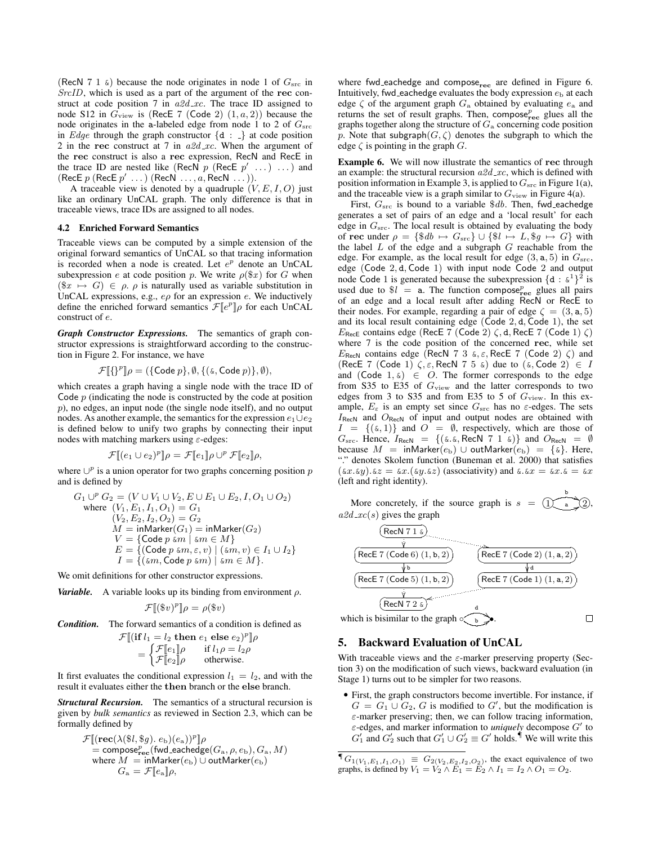(RecN 7 1 &) because the node originates in node 1 of *G*src in *SrcID*, which is used as a part of the argument of the **rec** construct at code position 7 in *a2d xc*. The trace ID assigned to node S12 in  $G_{\text{view}}$  is (RecE 7 (Code 2)  $(1, a, 2)$ ) because the node originates in the a-labeled edge from node 1 to 2 of  $G<sub>src</sub>$ in *Edge* through the graph constructor *{*d : *}* at code position 2 in the **rec** construct at 7 in *a2d xc*. When the argument of the **rec** construct is also a **rec** expression, RecN and RecE in the trace ID are nested like (RecN  $p$  (RecE  $p'$  ...) ...) and (RecE *p* (RecE *p 0 . . .* ) (RecN *. . . , a,* RecN *. . .* )).

A traceable view is denoted by a quadruple  $(V, E, I, O)$  just like an ordinary UnCAL graph. The only difference is that in traceable views, trace IDs are assigned to all nodes.

#### 4.2 Enriched Forward Semantics

Traceable views can be computed by a simple extension of the original forward semantics of UnCAL so that tracing information is recorded when a node is created. Let  $e^p$  denote an UnCAL subexpression *e* at code position *p*. We write  $\rho$ (\$*x*) for *G* when  $(\$x \mapsto G) \in \rho$ .  $\rho$  is naturally used as variable substitution in UnCAL expressions, e.g., *eρ* for an expression *e*. We inductively define the enriched forward semantics  $\mathcal{F}[\lbrack e^p \rbrack]$  for each UnCAL construct of *e*.

*Graph Constructor Expressions.* The semantics of graph constructor expressions is straightforward according to the construction in Figure 2. For instance, we have

$$
\mathcal{F}[\{\}^p]\rho = (\{\text{Code } p\}, \emptyset, \{(\alpha, \text{Code } p)\}, \emptyset),
$$

which creates a graph having a single node with the trace ID of Code *p* (indicating the node is constructed by the code at position *p*), no edges, an input node (the single node itself), and no output nodes. As another example, the semantics for the expression  $e_1 \cup e_2$ is defined below to unify two graphs by connecting their input nodes with matching markers using *ε*-edges:

$$
\mathcal{F}[(e_1 \cup e_2)^p] \rho = \mathcal{F}[e_1] \rho \cup^p \mathcal{F}[e_2] \rho,
$$

where *∪ p* is a union operator for two graphs concerning position *p* and is defined by

$$
G_1 \cup^p G_2 = (V \cup V_1 \cup V_2, E \cup E_1 \cup E_2, I, O_1 \cup O_2)
$$
  
where  $(V_1, E_1, I_1, O_1) = G_1$   
 $(V_2, E_2, I_2, O_2) = G_2$   
 $M = \text{inMarket}(G_1) = \text{inMarket}(G_2)$   
 $V = \{\text{Code } p \text{ } \text{km} \mid \text{ } \text{km} \in M\}$   
 $E = \{(\text{Code } p \text{ } \text{km}, \varepsilon, v) \mid (\text{km}, v) \in I_1 \cup I_2\}$   
 $I = \{(\varepsilon m, \text{Code } p \text{ } \text{km}) \mid \text{ } \text{km} \in M\}.$ 

We omit definitions for other constructor expressions.

*Variable.* A variable looks up its binding from environment *ρ*.

$$
\mathcal{F}[(\$v)^p] \rho = \rho(\$v)
$$

*Condition.* The forward semantics of a condition is defined as

$$
\mathcal{F}[\!\!][\textbf{if } l_1 = l_2 \textbf{ then } e_1 \textbf{ else } e_2)^p]\!\!]/\n\n= \begin{cases} \mathcal{F}[\!\!][e_1]\!\!]/ & \textbf{if } l_1 \rho = l_2 \rho \\ \mathcal{F}[\!\!][e_2]\!\!]/ & \textbf{otherwise.} \end{cases}
$$

It first evaluates the conditional expression  $l_1 = l_2$ , and with the result it evaluates either the **then** branch or the **else** branch.

*Structural Recursion.* The semantics of a structural recursion is given by *bulk semantics* as reviewed in Section 2.3, which can be formally defined by

$$
\begin{array}{l} \mathcal{F}\llbracket(\mathbf{rec}(\lambda(\$l, \$g).~e_{\rm b})(e_{\rm a}))^p\rrbracket \rho \\ = \mathsf{compose}^p_{\mathbf{rec}}(\mathsf{fwd}\_\mathbf{eachedge}(G_{\rm a},\rho,e_{\rm b}),G_{\rm a},M) \\ \text{where $M$ = inMarket}(e_{\rm b})\cup\mathsf{outMarket}(e_{\rm b})$\\ G_{\rm a} = \mathcal{F}\llbracket e_{\rm a}\rrbracket \rho, \end{array}
$$

where fwd\_eachedge and compose<sub>rec</sub> are defined in Figure 6. Intuitively, fwd eachedge evaluates the body expression *e*<sup>b</sup> at each edge *ζ* of the argument graph *G*<sup>a</sup> obtained by evaluating *e*<sup>a</sup> and returns the set of result graphs. Then, compose<sup>p</sup><sub>rec</sub> glues all the graphs together along the structure of *G*<sup>a</sup> concerning code position *p*. Note that subgraph $(G, \zeta)$  denotes the subgraph to which the edge  $\zeta$  is pointing in the graph  $G$ .

Example 6. We will now illustrate the semantics of **rec** through an example: the structural recursion *a2d xc*, which is defined with position information in Example 3, is applied to  $G_{src}$  in Figure 1(a), and the traceable view is a graph similar to  $G_{\text{view}}$  in Figure 4(a).

First,  $G_{\text{src}}$  is bound to a variable \$*db*. Then, fwd\_eachedge generates a set of pairs of an edge and a 'local result' for each edge in  $G_{\text{src}}$ . The local result is obtained by evaluating the body of **rec** under  $\rho = {\{\$db \mapsto G_{\text{src}}\}} \cup {\{\$l \mapsto L, \$g \mapsto G\}}$  with the label *L* of the edge and a subgraph *G* reachable from the edge. For example, as the local result for edge  $(3, a, 5)$  in  $G_{\text{src}}$ , edge (Code 2*,* d*,* Code 1) with input node Code 2 and output node Code 1 is generated because the subexpression  $\{d : \&^1\}^2$  is used due to  $l = a$ . The function compose<sub>rec</sub> glues all pairs of an edge and a local result after adding RecN or RecE to their nodes. For example, regarding a pair of edge  $\zeta = (3, \texttt{a}, 5)$ and its local result containing edge (Code 2*,* d*,* Code 1), the set *E*<sub>RecE</sub> contains edge (RecE 7 (Code 2)  $\zeta$ , d, RecE 7 (Code 1)  $\zeta$ ) where 7 is the code position of the concerned **rec**, while set *E*<sub>RecN</sub> contains edge (RecN 7 3  $\&$ ,  $\varepsilon$ , RecE 7 (Code 2)  $\zeta$ ) and (RecE 7 (Code 1)  $\zeta$ ,  $\varepsilon$ , RecN 7 5  $\zeta$ ) due to  $(\zeta, \text{Code } 2) \in I$ and (Code 1*,* &) *∈ O*. The former corresponds to the edge from S35 to E35 of *G*view and the latter corresponds to two edges from 3 to S35 and from E35 to 5 of *G*view. In this example,  $E_{\varepsilon}$  is an empty set since  $G_{\text{src}}$  has no  $\varepsilon$ -edges. The sets *I*RecN and *O*RecN of input and output nodes are obtained with  $I = \{(\alpha, 1)\}\$ and  $O = \emptyset$ , respectively, which are those of  $G_{\text{src}}$ . Hence,  $I_{\text{RecN}} = \{(\&\&\&\text{RecN} \quad 7 \quad 1 \quad \&\text{and} \quad O_{\text{RecN}} = \emptyset\}$  $because M = inMarket(e_b) ∪ outMarket(e_b) = {&}. Here,$ "." denotes Skolem function (Buneman et al. 2000) that satisfies  $(\&x.\&y).\&z = \&x.(\&y.\&z)$  (associativity) and  $\&.\&x = \&x.\&= \&x$ (left and right identity).

More concretely, if the source graph is  $s = \textcircled{1}$  $\blacktriangle$ فاجره '&%\$ !"# 2 , *a2d xc*(*s*) gives the graph

b

| RecN 7 1 & (                |                           |                           |
|-----------------------------|---------------------------|---------------------------|
| $\frac{\sqrt{2}}{\sqrt{2}}$ | RecE 7 (Code 6) (1, b, 2) | RecE 7 (Code 2) (1, a, 2) |
| $\frac{\sqrt{6}}{\sqrt{2}}$ | RecE 7 (Code 1) (1, a, 2) |                           |
| $\frac{\sqrt{2}}{\sqrt{2}}$ | RecE 7 (Code 1) (1, a, 2) |                           |

\nwhich is bisimilar to the graph  $\text{a}$ .

\nOutput

\nDescription:

# 5. Backward Evaluation of UnCAL

With traceable views and the *ε*-marker preserving property (Section 3) on the modification of such views, backward evaluation (in Stage 1) turns out to be simpler for two reasons.

*•* First, the graph constructors become invertible. For instance, if  $G = G_1 \cup G_2$ , *G* is modified to *G*<sup> $\prime$ </sup>, but the modification is *ε*-marker preserving; then, we can follow tracing information, *ε*-edges, and marker information to *uniquely* decompose  $G'$  to  $G'_1$  and  $G'_2$  such that  $G'_1 \cup G'_2 \equiv G'$  holds.<sup>¶</sup> We will write this

<sup>*¶*</sup>  $G_1$ ( $V_1$ , $E_1$ , $I_1$ , $O_1$ )  $\equiv G_2$ ( $V_2$ , $E_2$ , $I_2$ , $O_2$ ), the exact equivalence of two graphs, is defined by  $V_1 = V_2 \wedge E_1 = E_2 \wedge I_1 = I_2 \wedge O_1 = O_2$ .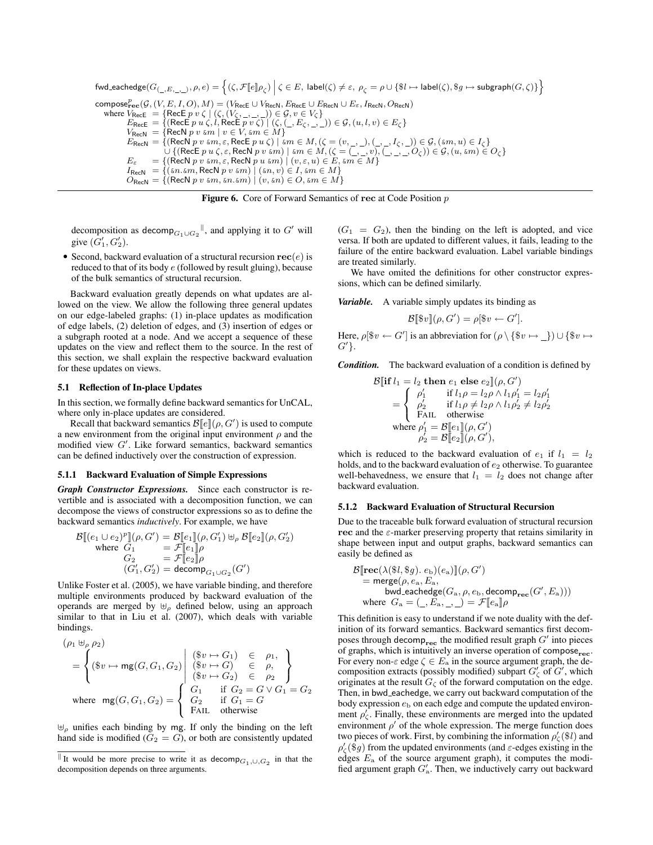$\textsf{fwd\_eachedge}(G_{(\_,E,\_,\_)},\rho,e) = \Big\{(\zeta,\mathcal{F}[\![e]\!] \rho_\zeta)\ \Big| \ \zeta \in E, \ \textsf{label}(\zeta) \neq \varepsilon, \ \rho_\zeta = \rho \cup \{\$\!|t \mapsto \textsf{label}(\zeta), \$\!g \mapsto \textsf{subgraph}(G,\zeta)\} \Big\}$  $\mathsf{change}_{\mathsf{rec}}^p(\mathcal{G}, (V, E, I, O), M) = (V_\mathsf{Rec} \cup V_\mathsf{RecN}, E_\mathsf{Rec} \cup E_\mathsf{RecN} \cup E_\varepsilon, I_\mathsf{RecN}, O_\mathsf{RecN})$  $W = V_{\text{Rec}} = \{ \text{Rec} \in p \, v \, \zeta \mid (\zeta, (V_{\zeta}, \_, \_, \_) ) \in \mathcal{G}, v \in V_{\zeta} \}$  $E_{\mathsf{RecE}} = \{(\mathsf{RecE} \ p \ u \ \zeta, l, \mathsf{RecE} \ p \ v \ \zeta) \mid (\zeta, (\_, E_{\zeta}, \_, \_) ) \in \mathcal{G}, (u, l, v) \in E_{\zeta}\}$  $V_{\text{RecN}} = \{ \text{RecN } p \text{ } v \text{ } \text{ } \text{ } m \mid v \in V, \text{ } \text{ } \text{ } m \in M \}$  $E_{\mathsf{RecN}} = \{(\mathsf{RecN} \ p \ v \ \mathsf{km}, \varepsilon, \mathsf{RecE} \ p \ u \ \zeta) \mid \mathsf{sm} \in M, (\zeta = (v, \_, \_) , (\_, \_, I_{\zeta}, \_) ) \in \mathcal{G}, (\mathsf{sm}, u) \in I_{\zeta}\}$  $\cup$  {(RecE  $p$   $u$   $\zeta$ ,  $\varepsilon$ , RecN  $p$   $v$   $\&$ m) |  $\&$ m  $\in$   $M$ ,  $(\zeta = (\_,\_,v),(\_,\_,\_,\_,O_{\zeta})) \in \mathcal{G}, (u, \& m) \in O_{\zeta}$  }  $E_{\varepsilon}$  = {(RecN *p v* &*m*,  $\varepsilon$ , RecN *p u* &*m*) | (*v*,  $\varepsilon$ ,  $u$ )  $\in E$ , &*m*  $\in M$ }  $I_{\text{RecN}} = \{ (\& n \cdot \& m, \text{RecN } p \cdot v \cdot \& m) \mid (\& n, v) \in I, \& m \in M \}$ *O*RecN = *{*(RecN *p v* &*m,* &*n.*&*m*) *|* (*v,* &*n*) *∈ O,* &*m ∈ M}*

Figure 6. Core of Forward Semantics of **rec** at Code Position *p*

decomposition as decomp<sub>*G*1∪*G*<sub>2</sub><sup>||</sup></sub>, and applying it to *G*<sup>*'*</sup> will give  $(G'_{1}, G'_{2})$ .

*•* Second, backward evaluation of a structural recursion **rec**(*e*) is reduced to that of its body *e* (followed by result gluing), because of the bulk semantics of structural recursion.

Backward evaluation greatly depends on what updates are allowed on the view. We allow the following three general updates on our edge-labeled graphs: (1) in-place updates as modification of edge labels, (2) deletion of edges, and (3) insertion of edges or a subgraph rooted at a node. And we accept a sequence of these updates on the view and reflect them to the source. In the rest of this section, we shall explain the respective backward evaluation for these updates on views.

#### 5.1 Reflection of In-place Updates

In this section, we formally define backward semantics for UnCAL, where only in-place updates are considered.

Recall that backward semantics  $\mathcal{B}[[e]](\rho, G')$  is used to compute a new environment from the original input environment *ρ* and the modified view  $G'$ . Like forward semantics, backward semantics can be defined inductively over the construction of expression.

#### 5.1.1 Backward Evaluation of Simple Expressions

*Graph Constructor Expressions.* Since each constructor is revertible and is associated with a decomposition function, we can decompose the views of constructor expressions so as to define the backward semantics *inductively*. For example, we have

$$
\mathcal{B}[\![ (e_1 \cup e_2)^p ]\!] (\rho, G') = \mathcal{B}[\![ e_1 ]\!] (\rho, G'_1) \uplus_{\rho} \mathcal{B}[\![ e_2 ]\!] (\rho, G'_2)
$$
  
where 
$$
\begin{array}{ll} G_1 &= \mathcal{F}[\![ e_1 ]\!] \rho \\ G_2 &= \mathcal{F}[\![ e_2 ]\!] \rho \\ (G'_1, G'_2) = \mathrm{decomp}_{G_1 \cup G_2}(G') \end{array}
$$

Unlike Foster et al. (2005), we have variable binding, and therefore multiple environments produced by backward evaluation of the operands are merged by  $\forall \rho$  defined below, using an approach similar to that in Liu et al. (2007), which deals with variable bindings.

$$
(\rho_1 \uplus_{\rho} \rho_2)
$$
\n
$$
= \begin{cases} (\$v \mapsto mg(G, G_1, G_2) \mid (\$v \mapsto G_1) \in \rho_1, \\ (\$v \mapsto G) \in \rho, \\ (\$v \mapsto G_2) \in \rho_2 \end{cases}
$$
\nwhere  $mg(G, G_1, G_2) = \begin{cases} (\$v \mapsto G_1) \in \rho_1, \\ (\$v \mapsto G_2) \in \rho_2 \\ G_2 \text{ if } G_1 = G \\ \text{FAIL} \text{ otherwise} \end{cases}$ 

 $\forall p$  unifies each binding by mg. If only the binding on the left hand side is modified  $(G_2 = G)$ , or both are consistently updated  $(G_1 = G_2)$ , then the binding on the left is adopted, and vice versa. If both are updated to different values, it fails, leading to the failure of the entire backward evaluation. Label variable bindings are treated similarly.

We have omited the definitions for other constructor expressions, which can be defined similarly.

*Variable.* A variable simply updates its binding as

$$
\mathcal{B}[\mathcal{V}](\rho, G') = \rho[\mathcal{V} \leftarrow G'].
$$

Here,  $\rho$ [ $\&v \leftarrow G'$ ] is an abbreviation for  $(\rho \setminus {\&v \mapsto \_}) \cup {\&v \mapsto \_}$ *G 0 }*.

*Condition.* The backward evaluation of a condition is defined by

$$
\mathcal{B}[\text{if } l_1 = l_2 \text{ then } e_1 \text{ else } e_2] (\rho, G')
$$
\n
$$
= \begin{cases}\n\rho'_1 & \text{if } l_1 \rho = l_2 \rho \land l_1 \rho'_1 = l_2 \rho'_1 \\
\rho'_2 & \text{if } l_1 \rho \neq l_2 \rho \land l_1 \rho'_2 \neq l_2 \rho'_2 \\
\text{FAIL} & \text{otherwise} \\
\text{where } \rho'_1 = \mathcal{B}[\![e_1]\!](\rho, G') \\
\rho'_2 = \mathcal{B}[\![e_2]\!](\rho, G'),\n\end{cases}
$$

which is reduced to the backward evaluation of  $e_1$  if  $l_1 = l_2$ holds, and to the backward evaluation of  $e_2$  otherwise. To guarantee well-behavedness, we ensure that  $l_1 = l_2$  does not change after backward evaluation.

#### 5.1.2 Backward Evaluation of Structural Recursion

Due to the traceable bulk forward evaluation of structural recursion **rec** and the *ε*-marker preserving property that retains similarity in shape between input and output graphs, backward semantics can easily be defined as

$$
\mathcal{B}[\mathbf{rec}(\lambda(\$l, \$g), e_b)(e_a)][(\rho, G')]
$$
  
= merge( $\rho, e_a, E_a$ ,  
bwd-eachedge( $G_a, \rho, e_b$ , decomp<sub>rec</sub>(G', E\_a)))  
where  $G_a = (\_, E_a, \_, \_) = \mathcal{F}[e_a]\rho$ 

This definition is easy to understand if we note duality with the definition of its forward semantics. Backward semantics first decomposes through decomp $_{\text{rec}}$  the modified result graph  $G'$  into pieces of graphs, which is intuitively an inverse operation of compose**rec**. For every non- $\varepsilon$  edge  $\zeta \in E_a$  in the source argument graph, the decomposition extracts (possibly modified) subpart  $G'_{\zeta}$  of  $G'$ , which originates at the result  $G_\zeta$  of the forward computation on the edge. Then, in bwd eachedge, we carry out backward computation of the body expression  $e<sub>b</sub>$  on each edge and compute the updated environment  $\rho'_{\zeta}$ . Finally, these environments are merged into the updated environment  $\rho'$  of the whole expression. The merge function does two pieces of work. First, by combining the information  $\rho'_{\zeta}(\$l)$  and  $\rho'_{\zeta}$ (\$*g*) from the updated environments (and *ε*-edges existing in the edges *E*<sup>a</sup> of the source argument graph), it computes the modified argument graph  $G'_{a}$ . Then, we inductively carry out backward

<sup>&</sup>lt;sup>*k*</sup> It would be more precise to write it as decomp<sub>*G*1</sub>*,∪,G*<sub>2</sub> in that the decomposition depends on three arguments.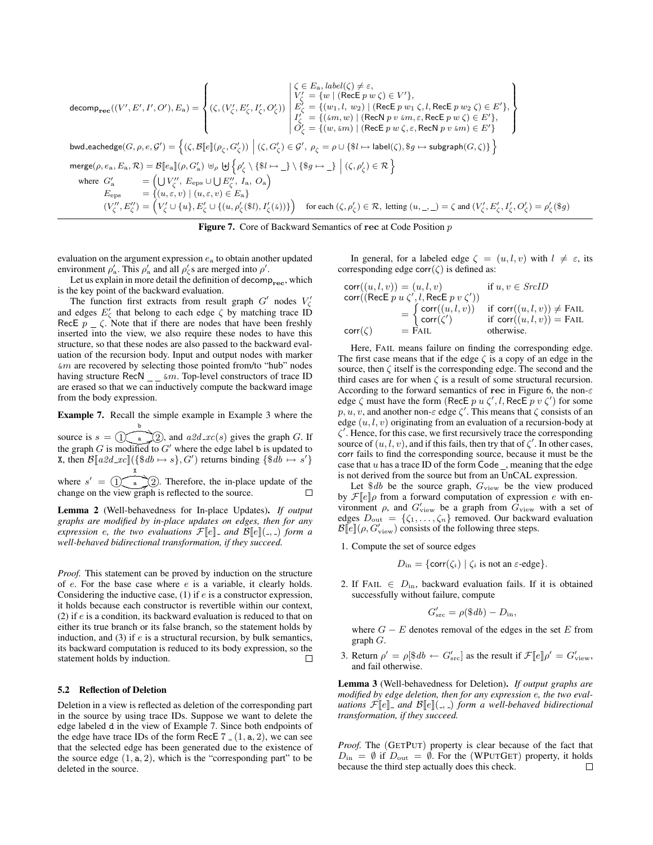$$
\begin{split} \text{decomp}_{\text{rec}}((V',E',I',O'),E_{\text{a}}) = \begin{cases} & \left| \begin{array}{c} \zeta \in E_{\text{a}},\text{label}(\zeta) \neq \varepsilon, \\ V'_{\zeta} = \{w \mid (\text{RecE } p \ w \ \zeta) \in V' \}, \\ E'_{\zeta} = \{(w_1,l,\ w_2) \mid (\text{RecE } p \ w \ \zeta, l,\text{RecE } p \ w_2 \ \zeta) \in E' \}, \\ V'_{\zeta} = \{(w_1,l,\ w_2) \mid (\text{RecE } p \ w \ \zeta, l,\text{RecE } p \ w \ \zeta) \in E' \}, \\ V'_{\zeta} = \{(w_1,w) \mid (\text{RecE } p \ w \ \zeta, \varepsilon, \text{RecE } p \ w \ \zeta) \in E' \}, \end{array} \end{cases} \end{cases} \\ \text{bwd\_eachedge}(G,\rho,e,\mathcal{G}') = \begin{cases} & (\zeta,\mathcal{B}\llbracket e \rrbracket(\rho_{\zeta},G'_{\zeta})) \mid (\zeta,G'_{\zeta}) \in \mathcal{G}', \ \rho_{\zeta} = \rho \cup \{\$\!\mathbb{S}\!\mathbb{I} \mapsto \text{label}(\zeta),\$\!\mathbb{S}\!\mathbb{g} \mapsto \text{subgraph}(G,\zeta)\} \end{cases} \\ & \text{where } G'_{\text{a}} = \begin{pmatrix} \bigcup V''_{\zeta},E_{\text{PPS}} \cup \bigcup E''_{\zeta}, I_{\text{a}}, O_{\text{a}} \big) \\ (u,\varepsilon,v) \mid (u,\varepsilon,v) \in E_{\text{a}} \end{pmatrix} \\ & \qquad \qquad E_{\text{PPS}} = \{(u,\varepsilon,v) \mid (u,\varepsilon,v) \in E_{\text{a}} \} \\ (V''_{\zeta},E''_{\zeta}) = \begin{pmatrix} \bigvee U'_{\zeta} \cup \{v_{\zeta},\psi\} \in E \} \\ V'_{\zeta} \cup \{v_{\zeta},\psi\} \in E \end{pmatrix} \end{cases} \text{ for each } (\zeta,\rho_{\zeta}') \in \mathcal{R}, \text{ letting } (u,\_,\_) = \zeta \text{ and } (V'_{\zeta},E'_{\zeta},I'_{\zeta},O'
$$



evaluation on the argument expression *e*<sup>a</sup> to obtain another updated environment  $\rho'_{a}$ . This  $\rho'_{a}$  and all  $\rho'_{\zeta}$ s are merged into  $\rho'$ .

Let us explain in more detail the definition of decomp<sub>rec</sub>, which is the key point of the backward evaluation.

The function first extracts from result graph  $G'$  nodes  $V'_{\zeta}$ and edges  $E'_{\zeta}$  that belong to each edge  $\zeta$  by matching trace ID RecE  $p - \zeta$ . Note that if there are nodes that have been freshly inserted into the view, we also require these nodes to have this structure, so that these nodes are also passed to the backward evaluation of the recursion body. Input and output nodes with marker &*m* are recovered by selecting those pointed from/to "hub" nodes having structure RecN  $\Box$   $\&m$ . Top-level constructors of trace ID are erased so that we can inductively compute the backward image from the body expression.

Example 7. Recall the simple example in Example 3 where the b

source is  $s = \widehat{1 \cup a} \widehat{2}$ , and  $a2d$  *xc*(*s*) gives the graph *G*. If the graph *G* is undated to the graph  $G$  is modified to  $G'$  where the edge label b is updated to **X**, then  $\mathcal{B}[[a2d_xx]]$  ({\$*db*  $\mapsto s$ }, *G'*) returns binding {\$*db*  $\mapsto s'$ }

where  $s' = \textcircled{1}$  $\frac{\lambda}{\lambda}$  (2). Therefore, the in-place update of the graph is reflected to the source. change on the view graph is reflected to the source.

Lemma 2 (Well-behavedness for In-place Updates). *If output graphs are modified by in-place updates on edges, then for any expression e, the two evaluations*  $\mathcal{F}[[e]]$  *and*  $\mathcal{B}[[e]]$  (*-, -) form a well-behaved bidirectional transformation, if they succeed.*

*Proof.* This statement can be proved by induction on the structure of *e*. For the base case where *e* is a variable, it clearly holds. Considering the inductive case, (1) if *e* is a constructor expression, it holds because each constructor is revertible within our context, (2) if *e* is a condition, its backward evaluation is reduced to that on either its true branch or its false branch, so the statement holds by induction, and (3) if *e* is a structural recursion, by bulk semantics, its backward computation is reduced to its body expression, so the statement holds by induction.  $\Box$ 

#### 5.2 Reflection of Deletion

Deletion in a view is reflected as deletion of the corresponding part in the source by using trace IDs. Suppose we want to delete the edge labeled d in the view of Example 7. Since both endpoints of the edge have trace IDs of the form RecE  $7 - (1, a, 2)$ , we can see that the selected edge has been generated due to the existence of the source edge  $(1, a, 2)$ , which is the "corresponding part" to be deleted in the source.

In general, for a labeled edge  $\zeta = (u, l, v)$  with  $l \neq \varepsilon$ , its corresponding edge corr $(\zeta)$  is defined as:

$$
corr((u, l, v)) = (u, l, v)
$$
if  $u, v \in SrcID$   
\n
$$
corr((\text{RecE } p u \zeta', l, \text{RecE } p v \zeta'))
$$
  
\n
$$
= \begin{cases} corr((u, l, v)) & \text{if} corr((u, l, v)) \neq \text{FAIL} \\ corr(\zeta') & \text{if} corr((u, l, v)) = \text{FAIL} \\ corr(\zeta) & = \text{FAIL} \end{cases}
$$

Here, FAIL means failure on finding the corresponding edge. The first case means that if the edge  $\zeta$  is a copy of an edge in the source, then *ζ* itself is the corresponding edge. The second and the third cases are for when  $\zeta$  is a result of some structural recursion. According to the forward semantics of **rec** in Figure 6, the non-*ε* edge  $\zeta$  must have the form (RecE  $p u \zeta'$ , *l*, RecE  $p v \zeta'$ ) for some  $p, u, v$ , and another non- $\varepsilon$  edge  $\zeta'$ . This means that  $\zeta$  consists of an edge (*u, l, v*) originating from an evaluation of a recursion-body at  $\zeta'$ . Hence, for this case, we first recursively trace the corresponding source of  $(u, l, v)$ , and if this fails, then try that of  $\zeta'$ . In other cases, corr fails to find the corresponding source, because it must be the case that *u* has a trace ID of the form Code , meaning that the edge is not derived from the source but from an UnCAL expression.

Let \$*db* be the source graph,  $G_{\text{view}}$  be the view produced by *F*[[*e*]]*ρ* from a forward computation of expression *e* with environment  $\rho$ , and  $G'_{\text{view}}$  be a graph from  $G_{\text{view}}$  with a set of edges  $D_{\text{out}} = \{\zeta_1, \ldots, \zeta_n\}$  removed. Our backward evaluation  $\mathcal{B}[\![e]\!](\rho, G'_{\text{view}})$  consists of the following three steps.

1. Compute the set of source edges

 $D_{\text{in}} = \{ \text{corr}(\zeta_i) \mid \zeta_i \text{ is not an } \varepsilon \text{-edge} \}.$ 

2. If FAIL  $\in$   $D_{\text{in}}$ , backward evaluation fails. If it is obtained successfully without failure, compute

$$
G'_{\rm src} = \rho(\$db) - D_{\rm in},
$$

where  $G - E$  denotes removal of the edges in the set  $E$  from graph *G*.

3. Return  $\rho' = \rho[\$db \leftarrow G'_{\rm src}]$  as the result if  $\mathcal{F}[\![e]\!] \rho' = G'_{\rm view}$ , and fail otherwise.

Lemma 3 (Well-behavedness for Deletion). *If output graphs are modified by edge deletion, then for any expression e, the two evaluations F*[[*e*]] *and B*[[*e*]]( *,* ) *form a well-behaved bidirectional transformation, if they succeed.*

*Proof.* The (GETPUT) property is clear because of the fact that  $D_{\text{in}} = \emptyset$  if  $D_{\text{out}} = \emptyset$ . For the (WPUTGET) property, it holds because the third step actually does this check. $\Box$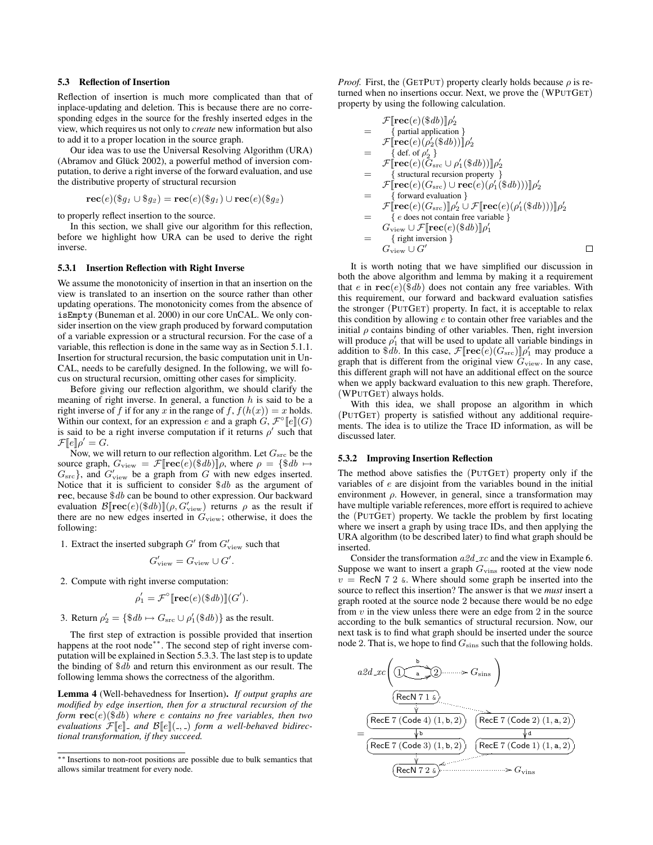# 5.3 Reflection of Insertion

Reflection of insertion is much more complicated than that of inplace-updating and deletion. This is because there are no corresponding edges in the source for the freshly inserted edges in the view, which requires us not only to *create* new information but also to add it to a proper location in the source graph.

Our idea was to use the Universal Resolving Algorithm (URA) (Abramov and Glück 2002), a powerful method of inversion computation, to derive a right inverse of the forward evaluation, and use the distributive property of structural recursion

$$
\mathbf{rec}(e)(\$g_1 \cup \$g_2) = \mathbf{rec}(e)(\$g_1) \cup \mathbf{rec}(e)(\$g_2)
$$

to properly reflect insertion to the source.

In this section, we shall give our algorithm for this reflection, before we highlight how URA can be used to derive the right inverse.

#### 5.3.1 Insertion Reflection with Right Inverse

We assume the monotonicity of insertion in that an insertion on the view is translated to an insertion on the source rather than other updating operations. The monotonicity comes from the absence of isEmpty (Buneman et al. 2000) in our core UnCAL. We only consider insertion on the view graph produced by forward computation of a variable expression or a structural recursion. For the case of a variable, this reflection is done in the same way as in Section 5.1.1. Insertion for structural recursion, the basic computation unit in Un-CAL, needs to be carefully designed. In the following, we will focus on structural recursion, omitting other cases for simplicity.

Before giving our reflection algorithm, we should clarify the meaning of right inverse. In general, a function *h* is said to be a right inverse of *f* if for any *x* in the range of *f*,  $f(h(x)) = x$  holds. Within our context, for an expression *e* and a graph  $G, \mathcal{F}^{\circ}[[e]](G)$ is said to be a right inverse computation if it returns  $\rho'$  such that  $\mathcal{F}[\![e]\!] \rho' = G.$ 

Now, we will return to our reflection algorithm. Let  $G_{\text{src}}$  be the source graph,  $G_{\text{view}} = \mathcal{F}[\text{rec}(e)(\$db)]\rho$ , where  $\rho = \{\$db \mapsto \rho\}$  $G<sub>src</sub>$ }, and  $G'_{view}$  be a graph from  $G$  with new edges inserted. Notice that it is sufficient to consider \$*db* as the argument of **rec**, because \$*db* can be bound to other expression. Our backward evaluation  $\mathcal{B}[\mathbf{rec}(e)(\$db)](\rho, G'_{\text{view}})$  returns  $\rho$  as the result if there are no new edges inserted in *G*view; otherwise, it does the following:

1. Extract the inserted subgraph  $G'$  from  $G'_{\text{view}}$  such that

$$
G'_{\text{view}} = G_{\text{view}} \cup G'.
$$

2. Compute with right inverse computation:

$$
\rho_1' = \mathcal{F}^{\circ}[\mathbf{rec}(e)(\$db)][(G').
$$

3. Return  $\rho'_2 = \{\$db \mapsto G_{\rm src} \cup \rho'_1(\$db)\}\$ as the result.

The first step of extraction is possible provided that insertion happens at the root node*∗∗*. The second step of right inverse computation will be explained in Section 5.3.3. The last step is to update the binding of \$*db* and return this environment as our result. The following lemma shows the correctness of the algorithm.

Lemma 4 (Well-behavedness for Insertion). *If output graphs are modified by edge insertion, then for a structural recursion of the form* **rec**(*e*)(\$*db*) *where e contains no free variables, then two evaluations*  $\mathcal{F}[\![e]\!]$  *and*  $\mathcal{B}[\![e]\!](\_,\_)$  *form a well-behaved bidirectional transformation, if they succeed.*

*Proof.* First, the (GETPUT) property clearly holds because  $\rho$  is returned when no insertions occur. Next, we prove the (WPUTGET) property by using the following calculation.

$$
\mathcal{F}[\mathbf{rec}(e)(\$db)]\rho_2'
$$
\n
$$
= \{ partial application \}
$$
\n
$$
\mathcal{F}[\mathbf{rec}(e)(\rho_2'(\$db))] \rho_2'
$$
\n
$$
= \{ def. of \rho_2' \}
$$
\n
$$
\mathcal{F}[\mathbf{rec}(e)(G_{src} \cup \rho_1'(\$db))] \rho_2'
$$
\n
$$
= \{ structural recursion property \}
$$
\n
$$
\mathcal{F}[\mathbf{rec}(e)(G_{src}) \cup \mathbf{rec}(e)(\rho_1'(\$db))] \rho_2'
$$
\n
$$
= \{ forward evaluation \}
$$
\n
$$
\mathcal{F}[\mathbf{rec}(e)(G_{src})] \rho_2' \cup \mathcal{F}[\mathbf{rec}(e)(\rho_1'(\$db))] \rho_2'
$$
\n
$$
= \{ e does not contain free variable \}
$$
\n
$$
G_{view} \cup \mathcal{F}[\mathbf{rec}(e)(\$db)] \rho_1'
$$
\n
$$
= \{ right inversion \}
$$

It is worth noting that we have simplified our discussion in both the above algorithm and lemma by making it a requirement that *e* in  $\text{rec}(e)(\$db)$  does not contain any free variables. With this requirement, our forward and backward evaluation satisfies the stronger (PUTGET) property. In fact, it is acceptable to relax this condition by allowing *e* to contain other free variables and the initial  $\rho$  contains binding of other variables. Then, right inversion will produce  $\rho'_1$  that will be used to update all variable bindings in addition to  $\$db$ . In this case,  $\mathcal{F}[\mathbf{rec}(e)(G_{\text{src}})]\rho'_1$  may produce a graph that is different from the original view  $G_{\text{view}}$ . In any case, this different graph will not have an additional effect on the source when we apply backward evaluation to this new graph. Therefore, (WPUTGET) always holds.

With this idea, we shall propose an algorithm in which (PUTGET) property is satisfied without any additional requirements. The idea is to utilize the Trace ID information, as will be discussed later.

#### 5.3.2 Improving Insertion Reflection

The method above satisfies the (PUTGET) property only if the variables of *e* are disjoint from the variables bound in the initial environment *ρ*. However, in general, since a transformation may have multiple variable references, more effort is required to achieve the (PUTGET) property. We tackle the problem by first locating where we insert a graph by using trace IDs, and then applying the URA algorithm (to be described later) to find what graph should be inserted.

Consider the transformation *a2d xc* and the view in Example 6. Suppose we want to insert a graph *G*vins rooted at the view node  $v = \text{RecN } 7 \ 2 \ \text{\&}$ . Where should some graph be inserted into the source to reflect this insertion? The answer is that we *must* insert a graph rooted at the source node 2 because there would be no edge from *v* in the view unless there were an edge from 2 in the source according to the bulk semantics of structural recursion. Now, our next task is to find what graph should be inserted under the source node 2. That is, we hope to find  $G_{\text{sins}}$  such that the following holds.



*<sup>∗∗</sup>* Insertions to non-root positions are possible due to bulk semantics that allows similar treatment for every node.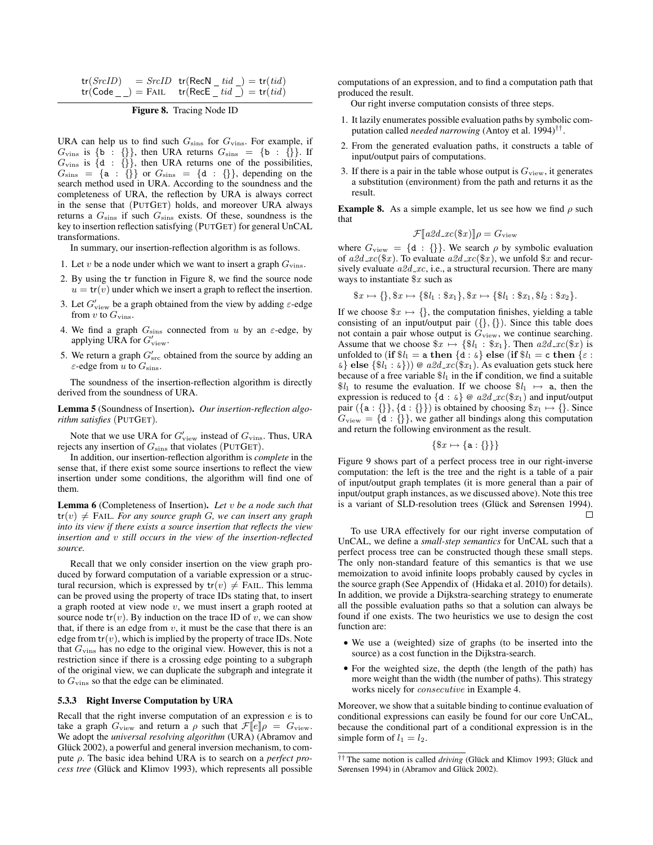$$
\begin{array}{lll} \mathsf{tr}(SrcID) & = SrcID & \mathsf{tr}(\mathsf{RecN\_tid } \_) = \mathsf{tr}(tid) \\ \mathsf{tr}(\mathsf{Code } \_\_) & = \mathsf{FAIL} & \mathsf{tr}(\mathsf{RecE } \_\_tid \_) = \mathsf{tr}(tid) \end{array}
$$

## Figure 8. Tracing Node ID

URA can help us to find such  $G_{\rm sins}$  for  $G_{\rm vins}$ . For example, if  $G_{\text{vins}}$  is {b : {}}, then URA returns  $G_{\text{sins}} = \{b : \{\} \}.$  If *G*vins is *{*d : *{}}*, then URA returns one of the possibilities,  $G_{\text{sins}} = \{a : \{\}\}\$  or  $G_{\text{sins}} = \{d : \{\}\}\$ , depending on the search method used in URA. According to the soundness and the completeness of URA, the reflection by URA is always correct in the sense that (PUTGET) holds, and moreover URA always returns a  $G_{\text{sins}}$  if such  $G_{\text{sins}}$  exists. Of these, soundness is the key to insertion reflection satisfying (PUTGET) for general UnCAL transformations.

In summary, our insertion-reflection algorithm is as follows.

- 1. Let *v* be a node under which we want to insert a graph  $G_{\text{vins}}$ .
- 2. By using the tr function in Figure 8, we find the source node  $u = \text{tr}(v)$  under which we insert a graph to reflect the insertion.
- 3. Let  $G'_{\text{view}}$  be a graph obtained from the view by adding  $\varepsilon$ -edge from  $v$  to  $G_{\text{vins}}$ .
- 4. We find a graph  $G_{\text{sins}}$  connected from *u* by an  $\varepsilon$ -edge, by applying URA for  $G'_{\text{view}}$ .
- 5. We return a graph  $G'_{\text{src}}$  obtained from the source by adding an *ε*-edge from *u* to *G*sins.

The soundness of the insertion-reflection algorithm is directly derived from the soundness of URA.

Lemma 5 (Soundness of Insertion). *Our insertion-reflection algorithm satisfies* (PUTGET)*.*

Note that we use URA for  $G'_{\text{view}}$  instead of  $G_{\text{vins}}$ . Thus, URA rejects any insertion of *G*sins that violates (PUTGET).

In addition, our insertion-reflection algorithm is *complete* in the sense that, if there exist some source insertions to reflect the view insertion under some conditions, the algorithm will find one of them.

Lemma 6 (Completeness of Insertion). *Let v be a node such that*  $tr(v) \neq$  FAIL*. For any source graph G, we can insert any graph into its view if there exists a source insertion that reflects the view insertion and v still occurs in the view of the insertion-reflected source.*

Recall that we only consider insertion on the view graph produced by forward computation of a variable expression or a structural recursion, which is expressed by  $tr(v) \neq FAIL$ . This lemma can be proved using the property of trace IDs stating that, to insert a graph rooted at view node *v*, we must insert a graph rooted at source node  $tr(v)$ . By induction on the trace ID of *v*, we can show that, if there is an edge from  $v$ , it must be the case that there is an edge from  $tr(v)$ , which is implied by the property of trace IDs. Note that *G*vins has no edge to the original view. However, this is not a restriction since if there is a crossing edge pointing to a subgraph of the original view, we can duplicate the subgraph and integrate it to *G*vins so that the edge can be eliminated.

#### 5.3.3 Right Inverse Computation by URA

Recall that the right inverse computation of an expression *e* is to take a graph  $G_{\text{view}}$  and return a  $\rho$  such that  $\mathcal{F}[\![e]\!] \rho = G_{\text{view}}$ . We adopt the *universal resolving algorithm* (URA) (Abramov and Glück 2002), a powerful and general inversion mechanism, to compute *ρ*. The basic idea behind URA is to search on a *perfect process tree* (Glück and Klimov 1993), which represents all possible computations of an expression, and to find a computation path that produced the result.

Our right inverse computation consists of three steps.

- 1. It lazily enumerates possible evaluation paths by symbolic computation called *needed narrowing* (Antoy et al. 1994)*††* .
- 2. From the generated evaluation paths, it constructs a table of input/output pairs of computations.
- 3. If there is a pair in the table whose output is  $G_{\text{view}}$ , it generates a substitution (environment) from the path and returns it as the result.

**Example 8.** As a simple example, let us see how we find  $\rho$  such that

$$
\mathcal{F}[a2d_xc(\$x)]\rho = G_{\text{view}}
$$

where  $G_{\text{view}} = \{d : \{\}\}\$ . We search  $\rho$  by symbolic evaluation of  $a2d_xc$ (\\$x). To evaluate  $a2d_xc$ (\\$x), we unfold \\$x and recursively evaluate *a2d xc*, i.e., a structural recursion. There are many ways to instantiate \$*x* such as

$$
x \mapsto \{\}, \& x \mapsto \{\$\mathit{l}_1 : \$x_1\}, \$x \mapsto \{\$\mathit{l}_1 : \$x_1, \$\mathit{l}_2 : \$x_2\}.
$$

If we choose  $x \mapsto \{\}$ , the computation finishes, yielding a table consisting of an input/output pair (*{}, {}*). Since this table does not contain a pair whose output is *G*view, we continue searching. Assume that we choose  $x \mapsto \{x_1 : x_2\}$ . Then  $a2d_xc(x)$  is unfolded to (**if**  $\mathcal{L}_1 = \mathbf{a}$  **then**  $\{ \mathbf{d} : \mathcal{L} \}$  **else** (**if**  $\mathcal{L}_1 = \mathbf{c}$  **then**  $\{ \varepsilon :$  $\{\$\}$  **else**  $\{\$\}$ <sub>1</sub> :  $\{\}\)$ ) @  $a2d$ \_xc( $\$\$ x<sub>1</sub>). As evaluation gets stuck here because of a free variable  $\$_{l_1}$  in the **if** condition, we find a suitable  $$l_1$  to resume the evaluation. If we choose  $$l_1 \rightarrow \mathbf{a}$ , then the expression is reduced to  $\{d : \&\}$  @  $a2d$ <sub>*xc*</sub>( $\&x_1$ ) and input/output pair  $({a : \{}, \{a : \{}\}, \{d : \{\}})$  is obtained by choosing  $x_1 \mapsto \{},$  Since  $G_{\text{view}} = \{d : \{\}\}\$ , we gather all bindings along this computation and return the following environment as the result.

$$
\{\$\boldsymbol{x} \mapsto \{\mathtt{a} : \{\}\}\}\
$$

Figure 9 shows part of a perfect process tree in our right-inverse computation: the left is the tree and the right is a table of a pair of input/output graph templates (it is more general than a pair of input/output graph instances, as we discussed above). Note this tree is a variant of SLD-resolution trees (Glück and Sørensen 1994). П

To use URA effectively for our right inverse computation of UnCAL, we define a *small-step semantics* for UnCAL such that a perfect process tree can be constructed though these small steps. The only non-standard feature of this semantics is that we use memoization to avoid infinite loops probably caused by cycles in the source graph (See Appendix of (Hidaka et al. 2010) for details). In addition, we provide a Dijkstra-searching strategy to enumerate all the possible evaluation paths so that a solution can always be found if one exists. The two heuristics we use to design the cost function are:

- *•* We use a (weighted) size of graphs (to be inserted into the source) as a cost function in the Dijkstra-search.
- *•* For the weighted size, the depth (the length of the path) has more weight than the width (the number of paths). This strategy works nicely for *consecutive* in Example 4.

Moreover, we show that a suitable binding to continue evaluation of conditional expressions can easily be found for our core UnCAL, because the conditional part of a conditional expression is in the simple form of  $l_1 = l_2$ .

<sup>&</sup>lt;sup>††</sup> The same notion is called *driving* (Glück and Klimov 1993; Glück and Sørensen 1994) in (Abramov and Glück 2002).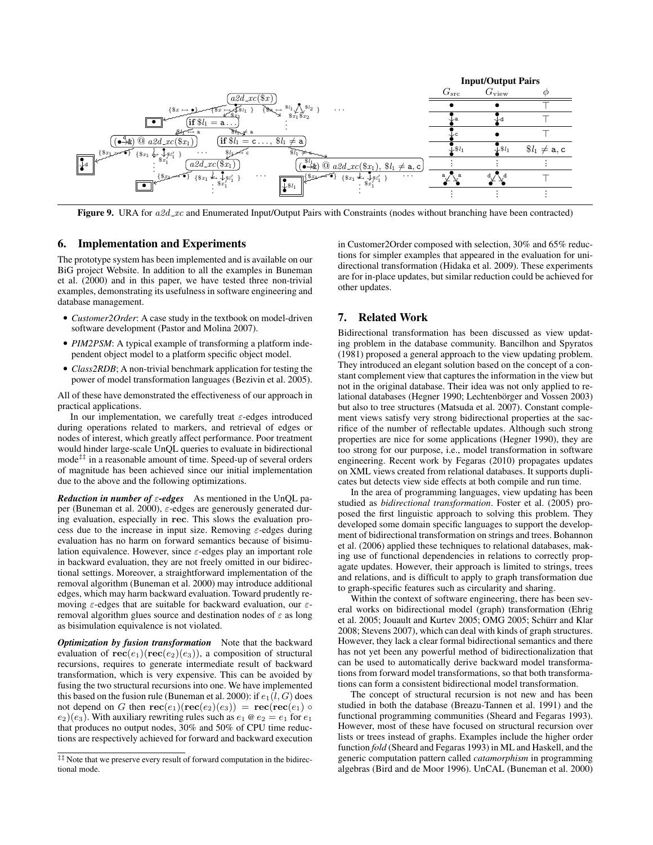

Figure 9. URA for  $a2d$  *xc* and Enumerated Input/Output Pairs with Constraints (nodes without branching have been contracted)

# 6. Implementation and Experiments

The prototype system has been implemented and is available on our BiG project Website. In addition to all the examples in Buneman et al. (2000) and in this paper, we have tested three non-trivial examples, demonstrating its usefulness in software engineering and database management.

- *• Customer2Order*: A case study in the textbook on model-driven software development (Pastor and Molina 2007).
- *• PIM2PSM*: A typical example of transforming a platform independent object model to a platform specific object model.
- *• Class2RDB*; A non-trivial benchmark application for testing the power of model transformation languages (Bezivin et al. 2005).

All of these have demonstrated the effectiveness of our approach in practical applications.

In our implementation, we carefully treat *ε*-edges introduced during operations related to markers, and retrieval of edges or nodes of interest, which greatly affect performance. Poor treatment would hinder large-scale UnQL queries to evaluate in bidirectional mode*‡‡* in a reasonable amount of time. Speed-up of several orders of magnitude has been achieved since our initial implementation due to the above and the following optimizations.

*Reduction in number of ε-edges* As mentioned in the UnQL paper (Buneman et al. 2000), *ε*-edges are generously generated during evaluation, especially in **rec**. This slows the evaluation process due to the increase in input size. Removing *ε*-edges during evaluation has no harm on forward semantics because of bisimulation equivalence. However, since *ε*-edges play an important role in backward evaluation, they are not freely omitted in our bidirectional settings. Moreover, a straightforward implementation of the removal algorithm (Buneman et al. 2000) may introduce additional edges, which may harm backward evaluation. Toward prudently removing *ε*-edges that are suitable for backward evaluation, our *ε*removal algorithm glues source and destination nodes of *ε* as long as bisimulation equivalence is not violated.

*Optimization by fusion transformation* Note that the backward evaluation of  $\text{rec}(e_1)(\text{rec}(e_2)(e_3))$ , a composition of structural recursions, requires to generate intermediate result of backward transformation, which is very expensive. This can be avoided by fusing the two structural recursions into one. We have implemented this based on the fusion rule (Buneman et al. 2000): if  $e_1(l, G)$  does not depend on *G* then  $\mathbf{rec}(e_1)(\mathbf{rec}(e_2)(e_3)) = \mathbf{rec}(\mathbf{rec}(e_1) \circ$  $(e_2)(e_3)$ . With auxiliary rewriting rules such as  $e_1 \otimes e_2 = e_1$  for  $e_1$ that produces no output nodes, 30% and 50% of CPU time reductions are respectively achieved for forward and backward execution

in Customer2Order composed with selection, 30% and 65% reductions for simpler examples that appeared in the evaluation for unidirectional transformation (Hidaka et al. 2009). These experiments are for in-place updates, but similar reduction could be achieved for other updates.

# 7. Related Work

Bidirectional transformation has been discussed as view updating problem in the database community. Bancilhon and Spyratos (1981) proposed a general approach to the view updating problem. They introduced an elegant solution based on the concept of a constant complement view that captures the information in the view but not in the original database. Their idea was not only applied to relational databases (Hegner 1990; Lechtenbörger and Vossen 2003) but also to tree structures (Matsuda et al. 2007). Constant complement views satisfy very strong bidirectional properties at the sacrifice of the number of reflectable updates. Although such strong properties are nice for some applications (Hegner 1990), they are too strong for our purpose, i.e., model transformation in software engineering. Recent work by Fegaras (2010) propagates updates on XML views created from relational databases. It supports duplicates but detects view side effects at both compile and run time.

In the area of programming languages, view updating has been studied as *bidirectional transformation*. Foster et al. (2005) proposed the first linguistic approach to solving this problem. They developed some domain specific languages to support the development of bidirectional transformation on strings and trees. Bohannon et al. (2006) applied these techniques to relational databases, making use of functional dependencies in relations to correctly propagate updates. However, their approach is limited to strings, trees and relations, and is difficult to apply to graph transformation due to graph-specific features such as circularity and sharing.

Within the context of software engineering, there has been several works on bidirectional model (graph) transformation (Ehrig et al. 2005; Jouault and Kurtev 2005; OMG 2005; Schürr and Klar 2008; Stevens 2007), which can deal with kinds of graph structures. However, they lack a clear formal bidirectional semantics and there has not yet been any powerful method of bidirectionalization that can be used to automatically derive backward model transformations from forward model transformations, so that both transformations can form a consistent bidirectional model transformation.

The concept of structural recursion is not new and has been studied in both the database (Breazu-Tannen et al. 1991) and the functional programming communities (Sheard and Fegaras 1993). However, most of these have focused on structural recursion over lists or trees instead of graphs. Examples include the higher order function *fold* (Sheard and Fegaras 1993) in ML and Haskell, and the generic computation pattern called *catamorphism* in programming algebras (Bird and de Moor 1996). UnCAL (Buneman et al. 2000)

*<sup>‡‡</sup>* Note that we preserve every result of forward computation in the bidirectional mode.